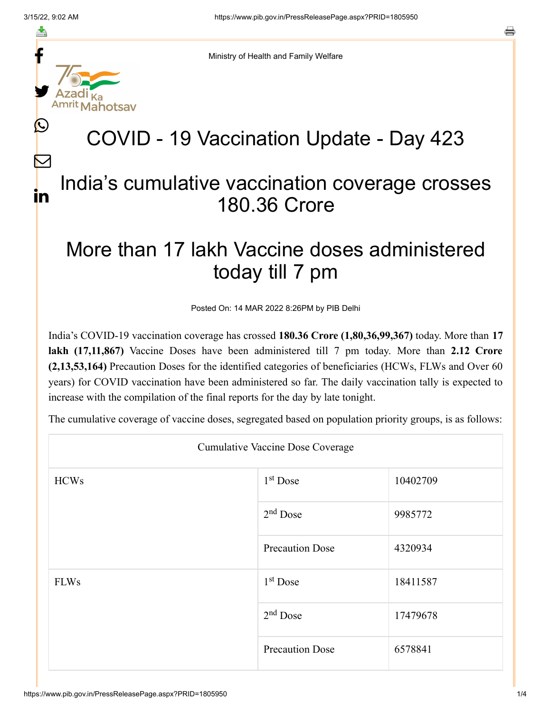≛

L

 $\bm{\nabla}$ 

in

s



Ministry of Health and Family Welfare

## COVID - 19 Vaccination Update - Day 423

## India's cumulative vaccination coverage crosses 180.36 Crore

## More than 17 lakh Vaccine doses administered today till 7 pm

Posted On: 14 MAR 2022 8:26PM by PIB Delhi

India's COVID-19 vaccination coverage has crossed **180.36 Crore (1,80,36,99,367)** today. More than **17 lakh (17,11,867)** Vaccine Doses have been administered till 7 pm today. More than **2.12 Crore (2,13,53,164)** Precaution Doses for the identified categories of beneficiaries (HCWs, FLWs and Over 60 years) for COVID vaccination have been administered so far. The daily vaccination tally is expected to increase with the compilation of the final reports for the day by late tonight.

The cumulative coverage of vaccine doses, segregated based on population priority groups, is as follows:

| <b>Cumulative Vaccine Dose Coverage</b> |                        |          |  |  |
|-----------------------------------------|------------------------|----------|--|--|
| <b>HCWs</b>                             | $1st$ Dose             | 10402709 |  |  |
|                                         | $2nd$ Dose             | 9985772  |  |  |
|                                         | <b>Precaution Dose</b> | 4320934  |  |  |
| <b>FLWs</b>                             | $1st$ Dose             | 18411587 |  |  |
|                                         | $2nd$ Dose             | 17479678 |  |  |
|                                         | <b>Precaution Dose</b> | 6578841  |  |  |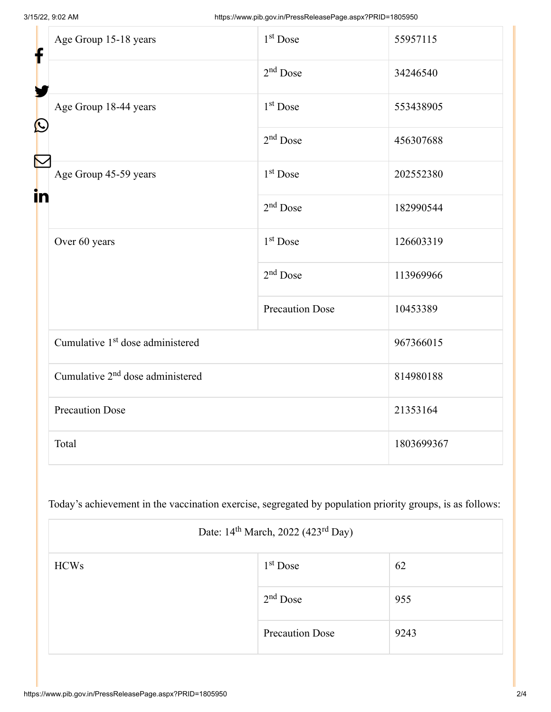| f<br>$\bf \Omega$ | Age Group 15-18 years                        | $1st$ Dose             | 55957115   |
|-------------------|----------------------------------------------|------------------------|------------|
|                   |                                              | $2nd$ Dose             | 34246540   |
|                   | Age Group 18-44 years                        | 1 <sup>st</sup> Dose   | 553438905  |
|                   |                                              | $2nd$ Dose             | 456307688  |
| in                | Age Group 45-59 years                        | 1 <sup>st</sup> Dose   | 202552380  |
|                   |                                              | $2nd$ Dose             | 182990544  |
|                   | Over 60 years                                | 1 <sup>st</sup> Dose   | 126603319  |
|                   |                                              | $2nd$ Dose             | 113969966  |
|                   |                                              | <b>Precaution Dose</b> | 10453389   |
|                   | Cumulative 1 <sup>st</sup> dose administered |                        | 967366015  |
|                   | Cumulative 2 <sup>nd</sup> dose administered |                        | 814980188  |
|                   | <b>Precaution Dose</b>                       |                        | 21353164   |
|                   | Total                                        |                        | 1803699367 |

Today's achievement in the vaccination exercise, segregated by population priority groups, is as follows:

| Date: 14 <sup>th</sup> March, 2022 (423 <sup>rd</sup> Day) |                        |      |  |  |
|------------------------------------------------------------|------------------------|------|--|--|
| <b>HCWs</b>                                                | $1st$ Dose             | 62   |  |  |
|                                                            | $2nd$ Dose             | 955  |  |  |
|                                                            | <b>Precaution Dose</b> | 9243 |  |  |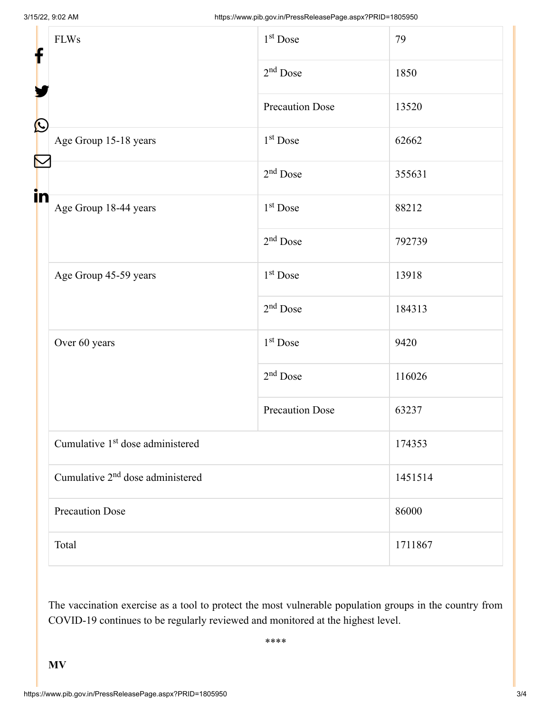| f            | <b>FLWs</b>                                  | $1st$ Dose             | 79      |  |
|--------------|----------------------------------------------|------------------------|---------|--|
|              |                                              | $2nd$ Dose             | 1850    |  |
|              |                                              | Precaution Dose        | 13520   |  |
| $\bf \Omega$ | Age Group 15-18 years                        | 1 <sup>st</sup> Dose   | 62662   |  |
|              |                                              | $2nd$ Dose             | 355631  |  |
| in           | Age Group 18-44 years                        | $1st$ Dose             | 88212   |  |
|              |                                              | $2nd$ Dose             | 792739  |  |
|              | Age Group 45-59 years                        | 1 <sup>st</sup> Dose   | 13918   |  |
|              |                                              | $2nd$ Dose             | 184313  |  |
|              | Over 60 years                                | $1st$ Dose             | 9420    |  |
|              |                                              | $2nd$ Dose             | 116026  |  |
|              |                                              | <b>Precaution Dose</b> | 63237   |  |
|              | Cumulative 1 <sup>st</sup> dose administered |                        | 174353  |  |
|              | Cumulative 2 <sup>nd</sup> dose administered |                        | 1451514 |  |
|              | <b>Precaution Dose</b>                       |                        | 86000   |  |
|              | Total                                        |                        | 1711867 |  |

The vaccination exercise as a tool to protect the most vulnerable population groups in the country from COVID-19 continues to be regularly reviewed and monitored at the highest level.

\*\*\*\*